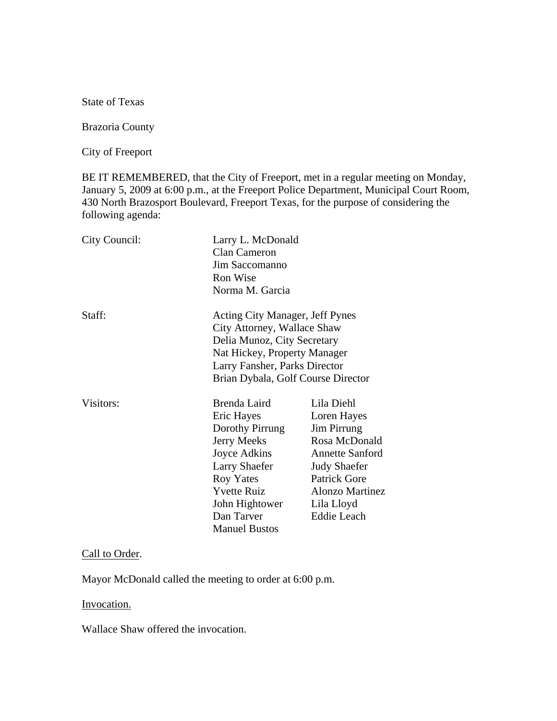State of Texas

Brazoria County

City of Freeport

BE IT REMEMBERED, that the City of Freeport, met in a regular meeting on Monday, January 5, 2009 at 6:00 p.m., at the Freeport Police Department, Municipal Court Room, 430 North Brazosport Boulevard, Freeport Texas, for the purpose of considering the following agenda:

| City Council: | Larry L. McDonald<br><b>Clan Cameron</b><br>Jim Saccomanno<br>Ron Wise<br>Norma M. Garcia                                                                                                                   |                                                                                                                                                                                          |
|---------------|-------------------------------------------------------------------------------------------------------------------------------------------------------------------------------------------------------------|------------------------------------------------------------------------------------------------------------------------------------------------------------------------------------------|
| Staff:        | <b>Acting City Manager, Jeff Pynes</b><br>City Attorney, Wallace Shaw<br>Delia Munoz, City Secretary<br>Nat Hickey, Property Manager<br>Larry Fansher, Parks Director<br>Brian Dybala, Golf Course Director |                                                                                                                                                                                          |
| Visitors:     | Brenda Laird<br>Eric Hayes<br>Dorothy Pirrung<br><b>Jerry Meeks</b><br>Joyce Adkins<br><b>Larry Shaefer</b><br>Roy Yates<br><b>Yvette Ruiz</b><br>John Hightower<br>Dan Tarver<br><b>Manuel Bustos</b>      | Lila Diehl<br>Loren Hayes<br>Jim Pirrung<br>Rosa McDonald<br><b>Annette Sanford</b><br><b>Judy Shaefer</b><br><b>Patrick Gore</b><br>Alonzo Martinez<br>Lila Lloyd<br><b>Eddie Leach</b> |

### Call to Order.

Mayor McDonald called the meeting to order at 6:00 p.m.

Invocation.

Wallace Shaw offered the invocation.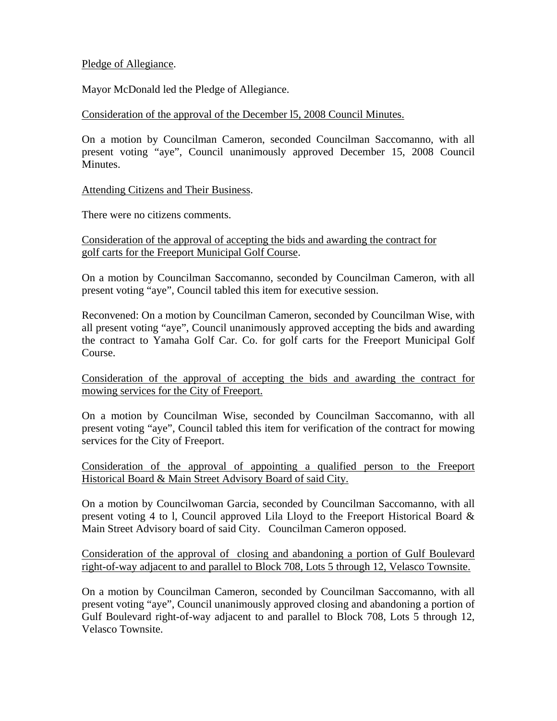### Pledge of Allegiance.

Mayor McDonald led the Pledge of Allegiance.

Consideration of the approval of the December l5, 2008 Council Minutes.

On a motion by Councilman Cameron, seconded Councilman Saccomanno, with all present voting "aye", Council unanimously approved December 15, 2008 Council **Minutes** 

Attending Citizens and Their Business.

There were no citizens comments.

Consideration of the approval of accepting the bids and awarding the contract for golf carts for the Freeport Municipal Golf Course.

On a motion by Councilman Saccomanno, seconded by Councilman Cameron, with all present voting "aye", Council tabled this item for executive session.

Reconvened: On a motion by Councilman Cameron, seconded by Councilman Wise, with all present voting "aye", Council unanimously approved accepting the bids and awarding the contract to Yamaha Golf Car. Co. for golf carts for the Freeport Municipal Golf Course.

Consideration of the approval of accepting the bids and awarding the contract for mowing services for the City of Freeport.

On a motion by Councilman Wise, seconded by Councilman Saccomanno, with all present voting "aye", Council tabled this item for verification of the contract for mowing services for the City of Freeport.

Consideration of the approval of appointing a qualified person to the Freeport Historical Board & Main Street Advisory Board of said City.

On a motion by Councilwoman Garcia, seconded by Councilman Saccomanno, with all present voting 4 to l, Council approved Lila Lloyd to the Freeport Historical Board & Main Street Advisory board of said City. Councilman Cameron opposed.

Consideration of the approval of closing and abandoning a portion of Gulf Boulevard right-of-way adjacent to and parallel to Block 708, Lots 5 through 12, Velasco Townsite.

On a motion by Councilman Cameron, seconded by Councilman Saccomanno, with all present voting "aye", Council unanimously approved closing and abandoning a portion of Gulf Boulevard right-of-way adjacent to and parallel to Block 708, Lots 5 through 12, Velasco Townsite.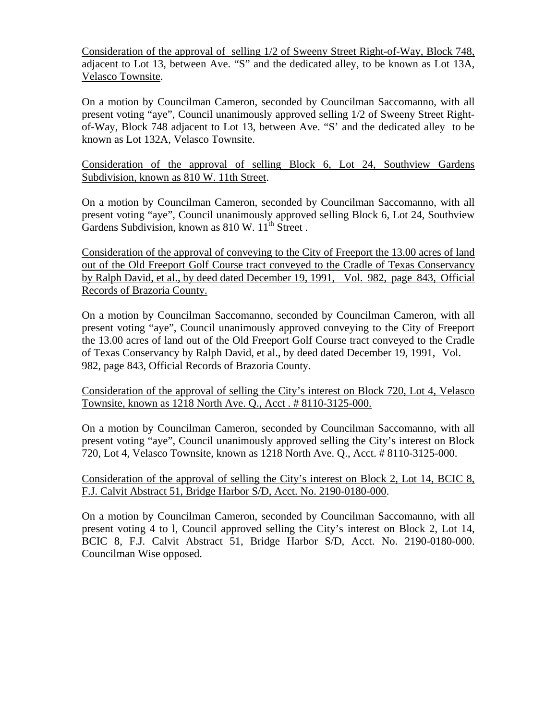Consideration of the approval of selling 1/2 of Sweeny Street Right-of-Way, Block 748, adjacent to Lot 13, between Ave. "S" and the dedicated alley, to be known as Lot 13A, Velasco Townsite.

On a motion by Councilman Cameron, seconded by Councilman Saccomanno, with all present voting "aye", Council unanimously approved selling 1/2 of Sweeny Street Rightof-Way, Block 748 adjacent to Lot 13, between Ave. "S' and the dedicated alley to be known as Lot 132A, Velasco Townsite.

Consideration of the approval of selling Block 6, Lot 24, Southview Gardens Subdivision, known as 810 W. 11th Street.

On a motion by Councilman Cameron, seconded by Councilman Saccomanno, with all present voting "aye", Council unanimously approved selling Block 6, Lot 24, Southview Gardens Subdivision, known as 810 W. 11<sup>th</sup> Street.

Consideration of the approval of conveying to the City of Freeport the 13.00 acres of land out of the Old Freeport Golf Course tract conveyed to the Cradle of Texas Conservancy by Ralph David, et al., by deed dated December 19, 1991, Vol. 982, page 843, Official Records of Brazoria County.

On a motion by Councilman Saccomanno, seconded by Councilman Cameron, with all present voting "aye", Council unanimously approved conveying to the City of Freeport the 13.00 acres of land out of the Old Freeport Golf Course tract conveyed to the Cradle of Texas Conservancy by Ralph David, et al., by deed dated December 19, 1991, Vol. 982, page 843, Official Records of Brazoria County.

Consideration of the approval of selling the City's interest on Block 720, Lot 4, Velasco Townsite, known as 1218 North Ave. Q., Acct . # 8110-3125-000.

On a motion by Councilman Cameron, seconded by Councilman Saccomanno, with all present voting "aye", Council unanimously approved selling the City's interest on Block 720, Lot 4, Velasco Townsite, known as 1218 North Ave. Q., Acct. # 8110-3125-000.

# Consideration of the approval of selling the City's interest on Block 2, Lot 14, BCIC 8, F.J. Calvit Abstract 51, Bridge Harbor S/D, Acct. No. 2190-0180-000.

On a motion by Councilman Cameron, seconded by Councilman Saccomanno, with all present voting 4 to l, Council approved selling the City's interest on Block 2, Lot 14, BCIC 8, F.J. Calvit Abstract 51, Bridge Harbor S/D, Acct. No. 2190-0180-000. Councilman Wise opposed.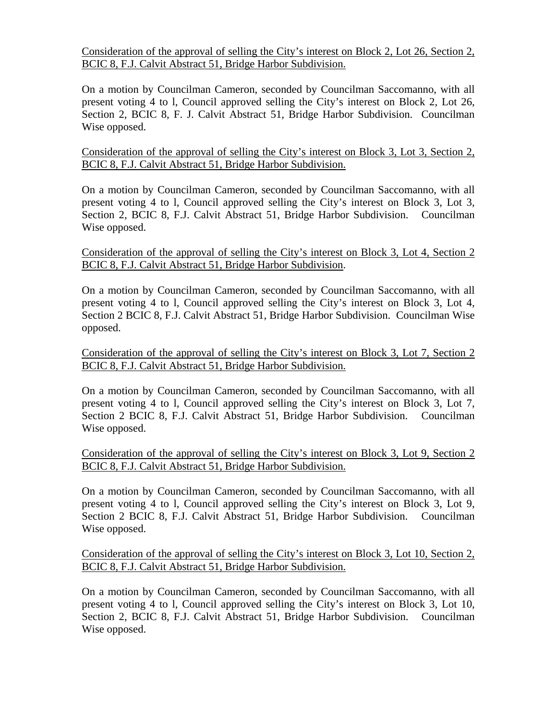Consideration of the approval of selling the City's interest on Block 2, Lot 26, Section 2, BCIC 8, F.J. Calvit Abstract 51, Bridge Harbor Subdivision.

On a motion by Councilman Cameron, seconded by Councilman Saccomanno, with all present voting 4 to l, Council approved selling the City's interest on Block 2, Lot 26, Section 2, BCIC 8, F. J. Calvit Abstract 51, Bridge Harbor Subdivision. Councilman Wise opposed.

Consideration of the approval of selling the City's interest on Block 3, Lot 3, Section 2, BCIC 8, F.J. Calvit Abstract 51, Bridge Harbor Subdivision.

On a motion by Councilman Cameron, seconded by Councilman Saccomanno, with all present voting 4 to l, Council approved selling the City's interest on Block 3, Lot 3, Section 2, BCIC 8, F.J. Calvit Abstract 51, Bridge Harbor Subdivision. Councilman Wise opposed.

Consideration of the approval of selling the City's interest on Block 3, Lot 4, Section 2 BCIC 8, F.J. Calvit Abstract 51, Bridge Harbor Subdivision.

On a motion by Councilman Cameron, seconded by Councilman Saccomanno, with all present voting 4 to l, Council approved selling the City's interest on Block 3, Lot 4, Section 2 BCIC 8, F.J. Calvit Abstract 51, Bridge Harbor Subdivision. Councilman Wise opposed.

Consideration of the approval of selling the City's interest on Block 3, Lot 7, Section 2 BCIC 8, F.J. Calvit Abstract 51, Bridge Harbor Subdivision.

On a motion by Councilman Cameron, seconded by Councilman Saccomanno, with all present voting 4 to l, Council approved selling the City's interest on Block 3, Lot 7, Section 2 BCIC 8, F.J. Calvit Abstract 51, Bridge Harbor Subdivision. Councilman Wise opposed.

Consideration of the approval of selling the City's interest on Block 3, Lot 9, Section 2 BCIC 8, F.J. Calvit Abstract 51, Bridge Harbor Subdivision.

On a motion by Councilman Cameron, seconded by Councilman Saccomanno, with all present voting 4 to l, Council approved selling the City's interest on Block 3, Lot 9, Section 2 BCIC 8, F.J. Calvit Abstract 51, Bridge Harbor Subdivision. Councilman Wise opposed.

Consideration of the approval of selling the City's interest on Block 3, Lot 10, Section 2, BCIC 8, F.J. Calvit Abstract 51, Bridge Harbor Subdivision.

On a motion by Councilman Cameron, seconded by Councilman Saccomanno, with all present voting 4 to l, Council approved selling the City's interest on Block 3, Lot 10, Section 2, BCIC 8, F.J. Calvit Abstract 51, Bridge Harbor Subdivision. Councilman Wise opposed.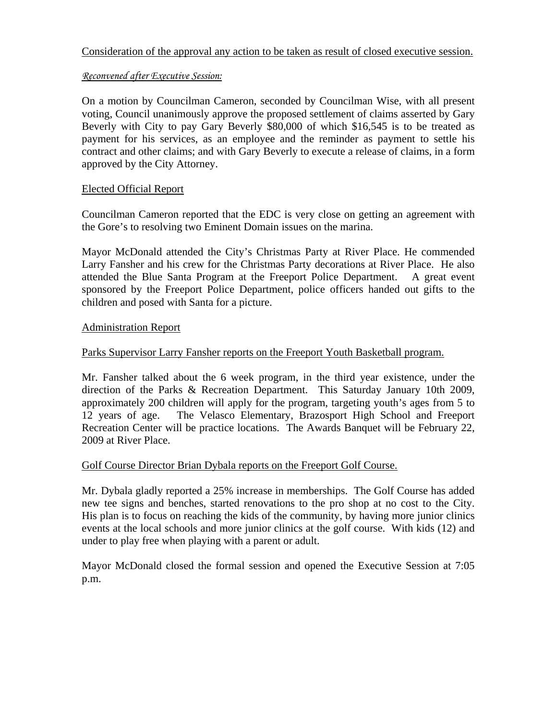# Consideration of the approval any action to be taken as result of closed executive session.

### *Reconvened after Executive Session:*

On a motion by Councilman Cameron, seconded by Councilman Wise, with all present voting, Council unanimously approve the proposed settlement of claims asserted by Gary Beverly with City to pay Gary Beverly \$80,000 of which \$16,545 is to be treated as payment for his services, as an employee and the reminder as payment to settle his contract and other claims; and with Gary Beverly to execute a release of claims, in a form approved by the City Attorney.

#### Elected Official Report

Councilman Cameron reported that the EDC is very close on getting an agreement with the Gore's to resolving two Eminent Domain issues on the marina.

Mayor McDonald attended the City's Christmas Party at River Place. He commended Larry Fansher and his crew for the Christmas Party decorations at River Place. He also attended the Blue Santa Program at the Freeport Police Department. A great event sponsored by the Freeport Police Department, police officers handed out gifts to the children and posed with Santa for a picture.

### Administration Report

### Parks Supervisor Larry Fansher reports on the Freeport Youth Basketball program.

Mr. Fansher talked about the 6 week program, in the third year existence, under the direction of the Parks & Recreation Department. This Saturday January 10th 2009, approximately 200 children will apply for the program, targeting youth's ages from 5 to 12 years of age. The Velasco Elementary, Brazosport High School and Freeport Recreation Center will be practice locations. The Awards Banquet will be February 22, 2009 at River Place.

#### Golf Course Director Brian Dybala reports on the Freeport Golf Course.

Mr. Dybala gladly reported a 25% increase in memberships. The Golf Course has added new tee signs and benches, started renovations to the pro shop at no cost to the City. His plan is to focus on reaching the kids of the community, by having more junior clinics events at the local schools and more junior clinics at the golf course. With kids (12) and under to play free when playing with a parent or adult.

Mayor McDonald closed the formal session and opened the Executive Session at 7:05 p.m.